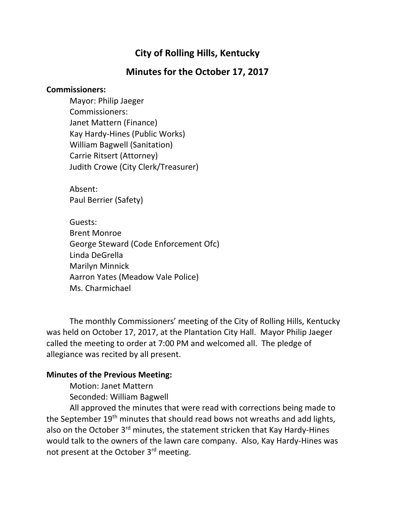# **City of Rolling Hills, Kentucky**

## **Minutes for the October 17, 2017**

#### **Commissioners:**

Mayor: Philip Jaeger Commissioners: Janet Mattern (Finance) Kay Hardy-Hines (Public Works) William Bagwell (Sanitation) Carrie Ritsert (Attorney) Judith Crowe (City Clerk/Treasurer)

Absent: Paul Berrier (Safety)

Guests: Brent Monroe George Steward (Code Enforcement Ofc) Linda DeGrella Marilyn Minnick Aarron Yates (Meadow Vale Police) Ms. Charmichael

The monthly Commissioners' meeting of the City of Rolling Hills, Kentucky was held on October 17, 2017, at the Plantation City Hall. Mayor Philip Jaeger called the meeting to order at 7:00 PM and welcomed all. The pledge of allegiance was recited by all present.

#### **Minutes of the Previous Meeting:**

Motion: Janet Mattern Seconded: William Bagwell

All approved the minutes that were read with corrections being made to the September 19<sup>th</sup> minutes that should read bows not wreaths and add lights, also on the October 3<sup>rd</sup> minutes, the statement stricken that Kay Hardy-Hines would talk to the owners of the lawn care company. Also, Kay Hardy-Hines was not present at the October 3rd meeting.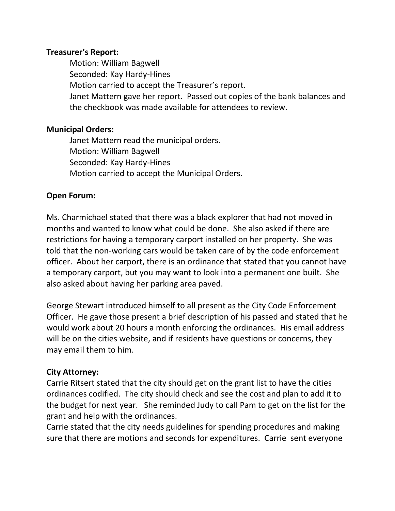#### **Treasurer's Report:**

Motion: William Bagwell Seconded: Kay Hardy-Hines Motion carried to accept the Treasurer's report. Janet Mattern gave her report. Passed out copies of the bank balances and the checkbook was made available for attendees to review.

#### **Municipal Orders:**

Janet Mattern read the municipal orders. Motion: William Bagwell Seconded: Kay Hardy-Hines Motion carried to accept the Municipal Orders.

## **Open Forum:**

Ms. Charmichael stated that there was a black explorer that had not moved in months and wanted to know what could be done. She also asked if there are restrictions for having a temporary carport installed on her property. She was told that the non-working cars would be taken care of by the code enforcement officer. About her carport, there is an ordinance that stated that you cannot have a temporary carport, but you may want to look into a permanent one built. She also asked about having her parking area paved.

George Stewart introduced himself to all present as the City Code Enforcement Officer. He gave those present a brief description of his passed and stated that he would work about 20 hours a month enforcing the ordinances. His email address will be on the cities website, and if residents have questions or concerns, they may email them to him.

#### **City Attorney:**

Carrie Ritsert stated that the city should get on the grant list to have the cities ordinances codified. The city should check and see the cost and plan to add it to the budget for next year. She reminded Judy to call Pam to get on the list for the grant and help with the ordinances.

Carrie stated that the city needs guidelines for spending procedures and making sure that there are motions and seconds for expenditures. Carrie sent everyone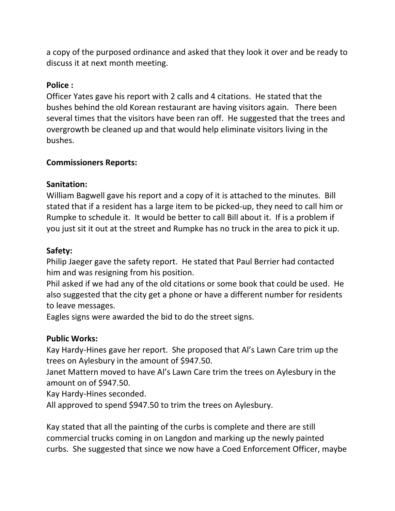a copy of the purposed ordinance and asked that they look it over and be ready to discuss it at next month meeting.

#### **Police :**

Officer Yates gave his report with 2 calls and 4 citations. He stated that the bushes behind the old Korean restaurant are having visitors again. There been several times that the visitors have been ran off. He suggested that the trees and overgrowth be cleaned up and that would help eliminate visitors living in the bushes.

## **Commissioners Reports:**

## **Sanitation:**

William Bagwell gave his report and a copy of it is attached to the minutes. Bill stated that if a resident has a large item to be picked-up, they need to call him or Rumpke to schedule it. It would be better to call Bill about it. If is a problem if you just sit it out at the street and Rumpke has no truck in the area to pick it up.

## **Safety:**

Philip Jaeger gave the safety report. He stated that Paul Berrier had contacted him and was resigning from his position.

Phil asked if we had any of the old citations or some book that could be used. He also suggested that the city get a phone or have a different number for residents to leave messages.

Eagles signs were awarded the bid to do the street signs.

#### **Public Works:**

Kay Hardy-Hines gave her report. She proposed that Al's Lawn Care trim up the trees on Aylesbury in the amount of \$947.50.

Janet Mattern moved to have Al's Lawn Care trim the trees on Aylesbury in the amount on of \$947.50.

Kay Hardy-Hines seconded.

All approved to spend \$947.50 to trim the trees on Aylesbury.

Kay stated that all the painting of the curbs is complete and there are still commercial trucks coming in on Langdon and marking up the newly painted curbs. She suggested that since we now have a Coed Enforcement Officer, maybe